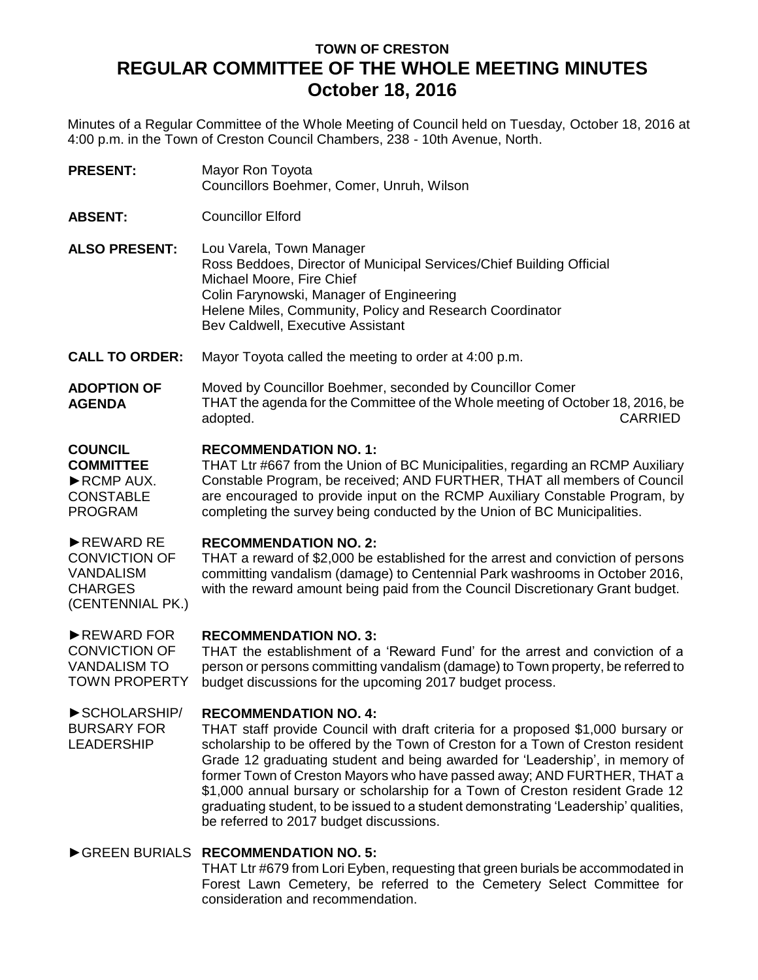# **TOWN OF CRESTON REGULAR COMMITTEE OF THE WHOLE MEETING MINUTES October 18, 2016**

Minutes of a Regular Committee of the Whole Meeting of Council held on Tuesday, October 18, 2016 at 4:00 p.m. in the Town of Creston Council Chambers, 238 - 10th Avenue, North.

- **PRESENT:** Mayor Ron Toyota Councillors Boehmer, Comer, Unruh, Wilson
- **ABSENT:** Councillor Elford
- **ALSO PRESENT:** Lou Varela, Town Manager Ross Beddoes, Director of Municipal Services/Chief Building Official Michael Moore, Fire Chief Colin Farynowski, Manager of Engineering Helene Miles, Community, Policy and Research Coordinator Bev Caldwell, Executive Assistant
- **CALL TO ORDER:** Mayor Toyota called the meeting to order at 4:00 p.m.
- **ADOPTION OF AGENDA** Moved by Councillor Boehmer, seconded by Councillor Comer THAT the agenda for the Committee of the Whole meeting of October 18, 2016, be adopted. CARRIED

# **COUNCIL RECOMMENDATION NO. 1:**

**COMMITTEE** ►RCMP AUX. **CONSTABLE** PROGRAM THAT Ltr #667 from the Union of BC Municipalities, regarding an RCMP Auxiliary Constable Program, be received; AND FURTHER, THAT all members of Council are encouraged to provide input on the RCMP Auxiliary Constable Program, by completing the survey being conducted by the Union of BC Municipalities.

# ►REWARD RE **RECOMMENDATION NO. 2:**

CONVICTION OF VANDALISM **CHARGES** 

LEADERSHIP

(CENTENNIAL PK.) THAT a reward of \$2,000 be established for the arrest and conviction of persons committing vandalism (damage) to Centennial Park washrooms in October 2016, with the reward amount being paid from the Council Discretionary Grant budget.

### ►REWARD FOR **RECOMMENDATION NO. 3:**

CONVICTION OF VANDALISM TO TOWN PROPERTY THAT the establishment of a 'Reward Fund' for the arrest and conviction of a person or persons committing vandalism (damage) to Town property, be referred to budget discussions for the upcoming 2017 budget process.

# ►SCHOLARSHIP/ BURSARY FOR **RECOMMENDATION NO. 4:**

THAT staff provide Council with draft criteria for a proposed \$1,000 bursary or scholarship to be offered by the Town of Creston for a Town of Creston resident Grade 12 graduating student and being awarded for 'Leadership', in memory of former Town of Creston Mayors who have passed away; AND FURTHER, THAT a \$1,000 annual bursary or scholarship for a Town of Creston resident Grade 12 graduating student, to be issued to a student demonstrating 'Leadership' qualities, be referred to 2017 budget discussions.

# ►GREEN BURIALS **RECOMMENDATION NO. 5:**

THAT Ltr #679 from Lori Eyben, requesting that green burials be accommodated in Forest Lawn Cemetery, be referred to the Cemetery Select Committee for consideration and recommendation.